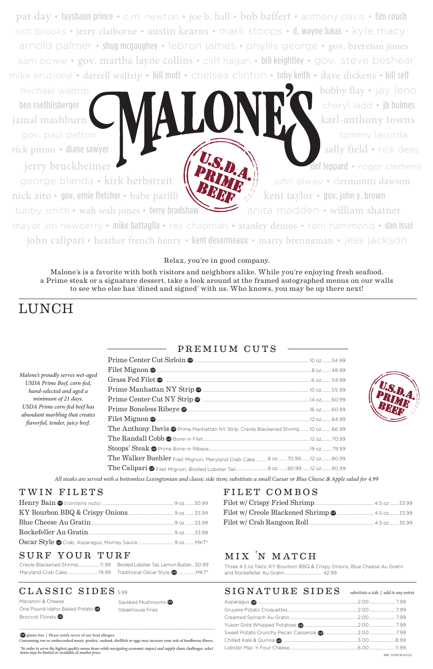pat day • tayshaun prince • c.m. newton • joe b. hall • bob baffert • anthony davis • tim couch rich brooks • jerry claiborne • austin kearns • mark stoops • d. wayne lukas • kyle macy arnold palmer • shug mcgaughey • lebron james • phyllis george • gov. brereton jones sam bowie • gov. martha layne collins • cliff hagan • bill keightley • gov. steve beshear mike eruzione • darrell waltrip • bill mott • chelsea clinton • toby keith • dave dickens • bill self

michael waltrip **bobby flay •** jay leno ben roethlisberger cheryl ladd • jb holmes jamal mashburn Karl Karl-anthony towns

george blanda • kirk herbstreit  $\| \cdot \|$  **i**  $\|$  john elway • dermontti dawson nick zito • gov. ernie fletcher • babe parilli  $\mathbb{R}$   $\mathbb{Z}$   $\mathbb{Z}$  kent taylor • gov. john y. brown

gov. paul patton tommy lasorda rick pitino • diane sawyer sally field • rick dees jerry bruckheimer def leppard • roger clemens

# LUNCH

tubby smith • wah wah jones • terry bradshaw anita madden • william shatner mayor jim newberry • mike battaglia • rex chapman • stanley demos • tom hammond • dan issel john calipari • heather french henry • kent desormeaux • marty brennaman • jess jackson

#### Relax, you're in good company.

Malone's is a favorite with both visitors and neighbors alike. While you're enjoying fresh seafood, a Prime steak or a signature dessert, take a look around at the framed autographed menus on our walls to see who else has 'dined and signed' with us. Who knows, you may be up there next!

MH -LUNCH 6/3/22

*All steaks are served with a bottomless Lexingtonian and classic side item; substitute a small Caesar or Blue Cheese* & *Apple salad for 4.99*

Macaroni & Cheese One Pound Idaho Baked Potato GF Broccoli Florets **GP** 

Sautéed Mushrooms G Steakhouse Fries

## premium cuts

| Malone's proudly serves wet-aged<br>USDA Prime Beef, corn-fed,<br>hand-selected and aged a<br>minimum of 21 days.<br>USDA Prime corn-fed beef has<br>abundant marbling that creates<br>flavorful, tender, juicy beef. |                                                                                              |  |
|-----------------------------------------------------------------------------------------------------------------------------------------------------------------------------------------------------------------------|----------------------------------------------------------------------------------------------|--|
|                                                                                                                                                                                                                       |                                                                                              |  |
|                                                                                                                                                                                                                       |                                                                                              |  |
|                                                                                                                                                                                                                       |                                                                                              |  |
|                                                                                                                                                                                                                       |                                                                                              |  |
|                                                                                                                                                                                                                       |                                                                                              |  |
|                                                                                                                                                                                                                       | The Anthony Davis <sup>®</sup> Prime Manhattan NY Strip, Creole Blackened Shrimp 10 oz 66.99 |  |
|                                                                                                                                                                                                                       |                                                                                              |  |
|                                                                                                                                                                                                                       |                                                                                              |  |
|                                                                                                                                                                                                                       | The Walker Buehler Filet Mignon, Maryland Crab Cake 8 02 70.99 12 02 80.99                   |  |
|                                                                                                                                                                                                                       |                                                                                              |  |



| Blue Cheese Au Gratin |  |
|-----------------------|--|
|                       |  |
|                       |  |

#### SURF YOUR TURF

### classic sides 5.99

# mix 'n match

Three 4.5 oz filets: KY Bourbon BBQ & Crispy Onions, Blue Cheese Au Gratin and Rockefeller Au Gratin.................................. 42.99

| Creole Blackened Shrimp 11.99 Broiled Lobster Tail, Lemon Butter30.99 |  |
|-----------------------------------------------------------------------|--|
|                                                                       |  |

*\*In order to serve the highest quality menu items while navigating economic impact and supply chain challenges, select items may be limited or available at market price.* 

#### $SIGNATURE$   $SIDES$  substitute a side | add to any entrée

GF gluten-free | Please notify server of any food allergies.

Consuming raw or undercooked meats, poultry, seafood, shellfish or eggs may increase your risk of foodborne illness.